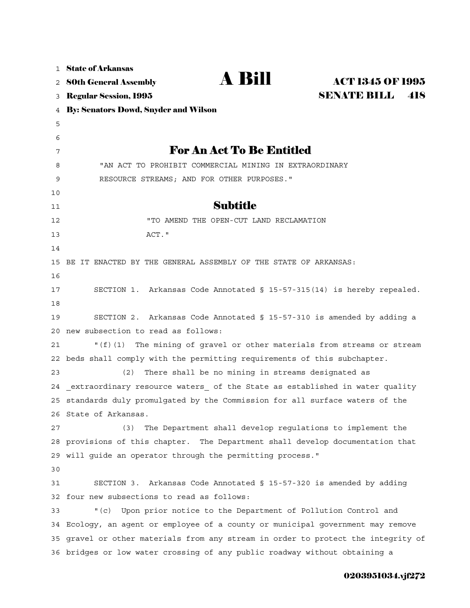| $\mathbf{1}$ | <b>State of Arkansas</b>                                                       |  |  |
|--------------|--------------------------------------------------------------------------------|--|--|
| 2            | A Bill<br><b>ACT 1345 OF 1995</b><br><b>80th General Assembly</b>              |  |  |
| 3            | <b>SENATE BILL</b><br>418<br><b>Regular Session, 1995</b>                      |  |  |
| 4            | <b>By: Senators Dowd, Snyder and Wilson</b>                                    |  |  |
| 5            |                                                                                |  |  |
| 6            |                                                                                |  |  |
| 7            | <b>For An Act To Be Entitled</b>                                               |  |  |
| 8            | "AN ACT TO PROHIBIT COMMERCIAL MINING IN EXTRAORDINARY                         |  |  |
| 9            | RESOURCE STREAMS; AND FOR OTHER PURPOSES."                                     |  |  |
| 10           |                                                                                |  |  |
| 11           | <b>Subtitle</b>                                                                |  |  |
| 12           | "TO AMEND THE OPEN-CUT LAND RECLAMATION                                        |  |  |
| 13           | ACT."                                                                          |  |  |
| 14           |                                                                                |  |  |
| 15           | BE IT ENACTED BY THE GENERAL ASSEMBLY OF THE STATE OF ARKANSAS:                |  |  |
| 16           |                                                                                |  |  |
| 17           | SECTION 1. Arkansas Code Annotated § 15-57-315(14) is hereby repealed.         |  |  |
| 18           |                                                                                |  |  |
| 19           | Arkansas Code Annotated § 15-57-310 is amended by adding a<br>SECTION 2.       |  |  |
| 20           | new subsection to read as follows:                                             |  |  |
| 21           | The mining of gravel or other materials from streams or stream<br>" $(f)(1)$   |  |  |
| 22           | beds shall comply with the permitting requirements of this subchapter.         |  |  |
| 23           | There shall be no mining in streams designated as<br>(2)                       |  |  |
| 24           | extraordinary resource waters of the State as established in water quality     |  |  |
|              | 25 standards duly promulgated by the Commission for all surface waters of the  |  |  |
|              | 26 State of Arkansas.                                                          |  |  |
| 27           | (3)<br>The Department shall develop requlations to implement the               |  |  |
| 28           | provisions of this chapter. The Department shall develop documentation that    |  |  |
| 29           | will guide an operator through the permitting process."                        |  |  |
| 30           |                                                                                |  |  |
| 31           | Arkansas Code Annotated § 15-57-320 is amended by adding<br>SECTION 3.         |  |  |
| 32           | four new subsections to read as follows:                                       |  |  |
| 33           | Upon prior notice to the Department of Pollution Control and<br>$"$ (c)        |  |  |
| 34           | Ecology, an agent or employee of a county or municipal government may remove   |  |  |
| 35           | gravel or other materials from any stream in order to protect the integrity of |  |  |
|              | 36 bridges or low water crossing of any public roadway without obtaining a     |  |  |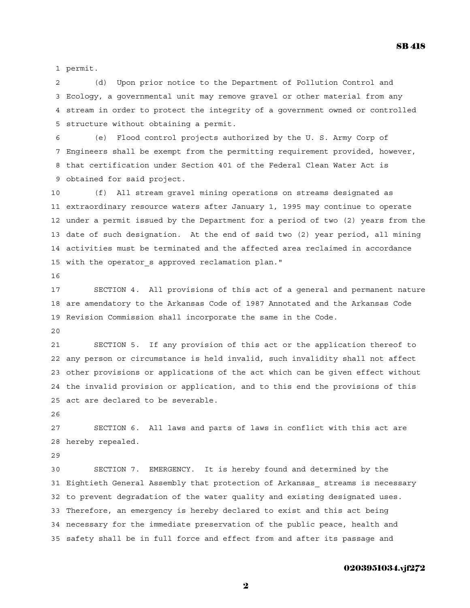1 permit.

2 (d) Upon prior notice to the Department of Pollution Control and 3 Ecology, a governmental unit may remove gravel or other material from any 4 stream in order to protect the integrity of a government owned or controlled 5 structure without obtaining a permit.

6 (e) Flood control projects authorized by the U. S. Army Corp of 7 Engineers shall be exempt from the permitting requirement provided, however, 8 that certification under Section 401 of the Federal Clean Water Act is 9 obtained for said project.

10 (f) All stream gravel mining operations on streams designated as 11 extraordinary resource waters after January 1, 1995 may continue to operate 12 under a permit issued by the Department for a period of two (2) years from the 13 date of such designation. At the end of said two (2) year period, all mining 14 activities must be terminated and the affected area reclaimed in accordance 15 with the operator\_s approved reclamation plan."

16

17 SECTION 4. All provisions of this act of a general and permanent nature 18 are amendatory to the Arkansas Code of 1987 Annotated and the Arkansas Code 19 Revision Commission shall incorporate the same in the Code.

20

21 SECTION 5. If any provision of this act or the application thereof to 22 any person or circumstance is held invalid, such invalidity shall not affect 23 other provisions or applications of the act which can be given effect without 24 the invalid provision or application, and to this end the provisions of this 25 act are declared to be severable.

26

27 SECTION 6. All laws and parts of laws in conflict with this act are 28 hereby repealed.

29

30 SECTION 7. EMERGENCY. It is hereby found and determined by the 31 Eightieth General Assembly that protection of Arkansas\_ streams is necessary 32 to prevent degradation of the water quality and existing designated uses. 33 Therefore, an emergency is hereby declared to exist and this act being 34 necessary for the immediate preservation of the public peace, health and 35 safety shall be in full force and effect from and after its passage and

## 0203951034.vjf272

2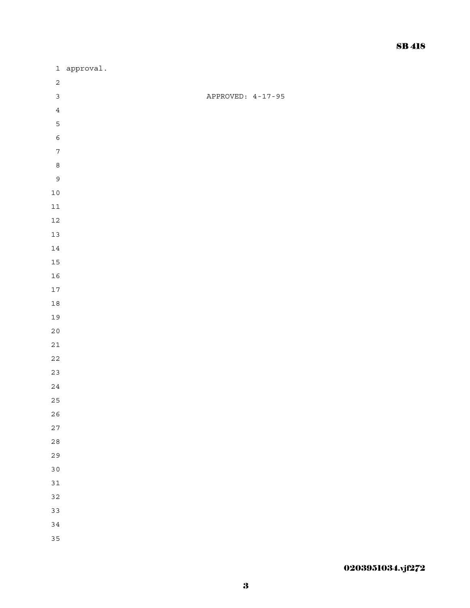|                  | 1 approval. |                   |
|------------------|-------------|-------------------|
| $\sqrt{2}$       |             |                   |
| $\mathbf{3}$     |             | APPROVED: 4-17-95 |
| $\bf 4$          |             |                   |
| $\overline{5}$   |             |                   |
| $\epsilon$       |             |                   |
| $\boldsymbol{7}$ |             |                   |
| $\,8\,$          |             |                   |
| $\mathsf{S}$     |             |                   |
| $10\,$           |             |                   |
| $11\,$           |             |                   |
| $12\,$           |             |                   |
| $13\,$           |             |                   |
| $14\,$           |             |                   |
| 15               |             |                   |
| $16\,$           |             |                   |
| $17$             |             |                   |
| $1\,8$           |             |                   |
| 19               |             |                   |
| $20\,$           |             |                   |
| $21\,$           |             |                   |
| $2\sqrt{2}$      |             |                   |
| 23               |             |                   |
| $2\sqrt{4}$      |             |                   |
| 25               |             |                   |
| $2\sqrt{6}$      |             |                   |
| $27$             |             |                   |
| $2\,8$           |             |                   |
| 29               |             |                   |
| 30               |             |                   |
| 31               |             |                   |
| 32               |             |                   |
| 33               |             |                   |
| 34               |             |                   |
| 35               |             |                   |